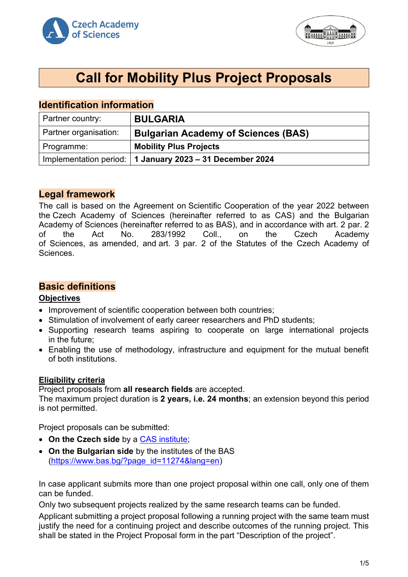



# **Call for Mobility Plus Project Proposals**

# **Identification information**

| Partner country:      | <b>BULGARIA</b>                                            |
|-----------------------|------------------------------------------------------------|
| Partner organisation: | <b>Bulgarian Academy of Sciences (BAS)</b>                 |
| Programme:            | <b>Mobility Plus Projects</b>                              |
|                       | Implementation period:   1 January 2023 - 31 December 2024 |

# **Legal framework**

The call is based on the Agreement on Scientific Cooperation of the year 2022 between the Czech Academy of Sciences (hereinafter referred to as CAS) and the Bulgarian Academy of Sciences (hereinafter referred to as BAS), and in accordance with art. 2 par. 2 of the Act No. 283/1992 Coll., on the Czech Academy of Sciences, as amended, and art. 3 par. 2 of the Statutes of the Czech Academy of Sciences.

# **Basic definitions**

#### **Objectives**

- Improvement of scientific cooperation between both countries;
- Stimulation of involvement of early career researchers and PhD students;
- Supporting research teams aspiring to cooperate on large international projects in the future;
- Enabling the use of methodology, infrastructure and equipment for the mutual benefit of both institutions.

#### **Eligibility criteria**

Project proposals from **all research fields** are accepted.

The maximum project duration is **2 years, i.e. 24 months**; an extension beyond this period is not permitted.

Project proposals can be submitted:

- **On the Czech side** by a [CAS institute;](http://www.avcr.cz/en/about-us/cas-structure/research-institutes/)
- **On the Bulgarian side** by the institutes of the BAS [\(https://www.bas.bg/?page\\_id=11274&lang=en\)](https://www.bas.bg/?page_id=11274&lang=en)

In case applicant submits more than one project proposal within one call, only one of them can be funded.

Only two subsequent projects realized by the same research teams can be funded.

Applicant submitting a project proposal following a running project with the same team must justify the need for a continuing project and describe outcomes of the running project. This shall be stated in the Project Proposal form in the part "Description of the project".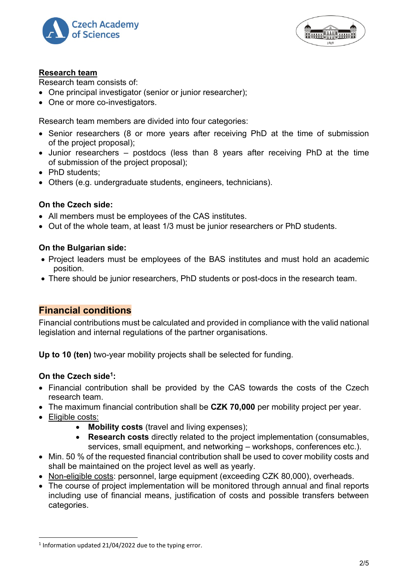



## **Research team**

Research team consists of:

- One principal investigator (senior or junior researcher);
- One or more co-investigators.

Research team members are divided into four categories:

- Senior researchers (8 or more years after receiving PhD at the time of submission of the project proposal);
- Junior researchers postdocs (less than 8 years after receiving PhD at the time of submission of the project proposal);
- PhD students:
- Others (e.g. undergraduate students, engineers, technicians).

## **On the Czech side:**

- All members must be employees of the CAS institutes.
- Out of the whole team, at least 1/3 must be junior researchers or PhD students.

## **On the Bulgarian side:**

- Project leaders must be employees of the BAS institutes and must hold an academic position.
- There should be junior researchers, PhD students or post-docs in the research team.

# **Financial conditions**

Financial contributions must be calculated and provided in compliance with the valid national legislation and internal regulations of the partner organisations.

**Up to 10 (ten)** two-year mobility projects shall be selected for funding.

# **On the Czech side<sup>1</sup> :**

- Financial contribution shall be provided by the CAS towards the costs of the Czech research team.
- The maximum financial contribution shall be **CZK 70,000** per mobility project per year.
- Eligible costs:
	- **Mobility costs** (travel and living expenses);
	- **Research costs** directly related to the project implementation (consumables, services, small equipment, and networking – workshops, conferences etc.).
- Min. 50 % of the requested financial contribution shall be used to cover mobility costs and shall be maintained on the project level as well as yearly.
- Non-eligible costs: personnel, large equipment (exceeding CZK 80,000), overheads.
- The course of project implementation will be monitored through annual and final reports including use of financial means, justification of costs and possible transfers between categories.

 $1$  Information updated 21/04/2022 due to the typing error.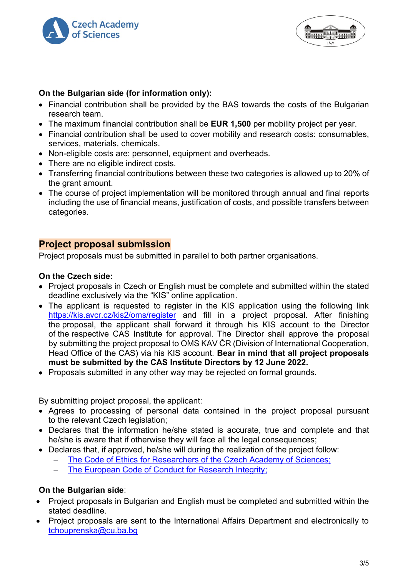



# **On the Bulgarian side (for information only):**

- Financial contribution shall be provided by the BAS towards the costs of the Bulgarian research team.
- The maximum financial contribution shall be **EUR 1,500** per mobility project per year.
- Financial contribution shall be used to cover mobility and research costs: consumables, services, materials, chemicals.
- Non-eligible costs are: personnel, equipment and overheads.
- There are no eligible indirect costs.
- Transferring financial contributions between these two categories is allowed up to 20% of the grant amount.
- The course of project implementation will be monitored through annual and final reports including the use of financial means, justification of costs, and possible transfers between categories.

# **Project proposal submission**

Project proposals must be submitted in parallel to both partner organisations.

# **On the Czech side:**

- Project proposals in Czech or English must be complete and submitted within the stated deadline exclusively via the "KIS" online application.
- The applicant is requested to register in the KIS application using the following link <https://kis.avcr.cz/kis2/oms/register> and fill in a project proposal. After finishing the proposal, the applicant shall forward it through his KIS account to the Director of the respective CAS Institute for approval. The Director shall approve the proposal by submitting the project proposal to OMS KAV ČR (Division of International Cooperation, Head Office of the CAS) via his KIS account. **Bear in mind that all project proposals must be submitted by the CAS Institute Directors by 12 June 2022.**
- Proposals submitted in any other way may be rejected on formal grounds.

By submitting project proposal, the applicant:

- Agrees to processing of personal data contained in the project proposal pursuant to the relevant Czech legislation;
- Declares that the information he/she stated is accurate, true and complete and that he/she is aware that if otherwise they will face all the legal consequences;
- Declares that, if approved, he/she will during the realization of the project follow:
	- The Code of Ethics for Researchers of [the Czech Academy of Sciences;](https://www.avcr.cz/en/about-us/legal-regulations/code-of-ethics-for-researchers-of-the-czech-academy-of-sciences/)
	- [The European Code of Conduct for Research Integrity;](http://www.allea.org/wp-content/uploads/2017/05/ALLEA-European-Code-of-Conduct-for-Research-Integrity-2017.pdf)

# **On the Bulgarian side**:

- Project proposals in Bulgarian and English must be completed and submitted within the stated deadline.
- Project proposals are sent to the International Affairs Department and electronically to [tchouprenska@cu.ba.bg](mailto:tchouprenska@cu.ba.bg)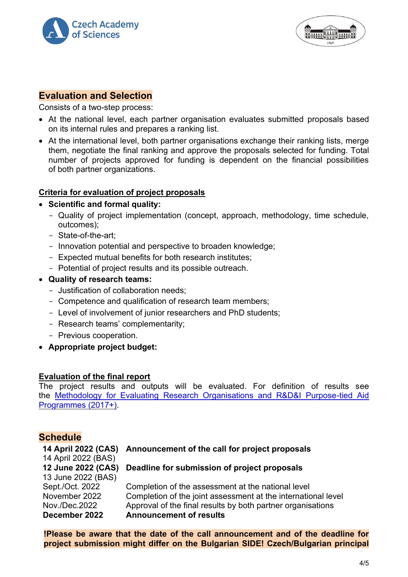



## **Evaluation and Selection**

Consists of a two-step process:

- At the national level, each partner organisation evaluates submitted proposals based on its internal rules and prepares a ranking list.
- At the international level, both partner organisations exchange their ranking lists, merge them, negotiate the final ranking and approve the proposals selected for funding. Total number of projects approved for funding is dependent on the financial possibilities of both partner organizations.

#### **Criteria for evaluation of project proposals**

- **Scientific and formal quality:** 
	- Quality of project implementation (concept, approach, methodology, time schedule, outcomes);
	- State-of-the-art;
	- Innovation potential and perspective to broaden knowledge;
	- Expected mutual benefits for both research institutes;
	- Potential of project results and its possible outreach.
- **Quality of research teams:**
	- Justification of collaboration needs;
	- Competence and qualification of research team members;
	- Level of involvement of junior researchers and PhD students;
	- Research teams' complementarity;
	- Previous cooperation.
- **Appropriate project budget:**

#### **Evaluation of the final report**

The project results and outputs will be evaluated. For definition of results see the [Methodology for Evaluating Research Organisations and R&D&I Purpose-tied Aid](https://www.vyzkum.cz/FrontClanek.aspx?idsekce=799796)  [Programmes \(2017+\).](https://www.vyzkum.cz/FrontClanek.aspx?idsekce=799796)

#### **Schedule**

#### **14 April 2022 (CAS) Announcement of the call for project proposals**

14 April 2022 (BAS) **12 June 2022 (CAS)** 13 June 2022 (BAS)

# **Deadline for submission of project proposals**

Sept./Oct. 2022 Completion of the assessment at the national level November 2022 Completion of the joint assessment at the international level Nov./Dec.2022 Approval of the final results by both partner organisations **December 2022 Announcement of results**

**!Please be aware that the date of the call announcement and of the deadline for project submission might differ on the Bulgarian SIDE! Czech/Bulgarian principal**